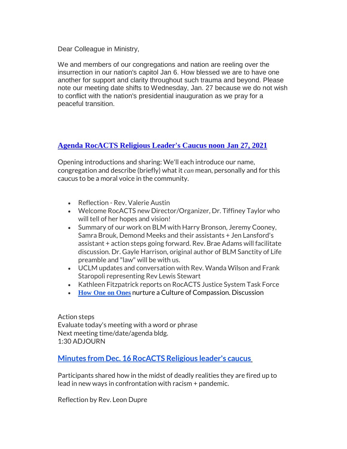Dear Colleague in Ministry,

We and members of our congregations and nation are reeling over the insurrection in our nation's capitol Jan 6. How blessed we are to have one another for support and clarity throughout such trauma and beyond. Please note our meeting date shifts to Wednesday, Jan. 27 because we do not wish to conflict with the nation's presidential inauguration as we pray for a peaceful transition.

## **Agenda [RocACTS](http://r20.rs6.net/tn.jsp?f=001jgNcU5f9ol3K7yN4r8_3N7g0AE-4Eq7wt_52qsjAAqFZneVdTxkJA_VJ4pop29KKTmoW3WOq377JaWNde4iOXNUGjHJrlM81PAjYa4FFZVajV_v64qGfA9xFOlAnzLN3bs8mvwyMPg6arxN4IUPhDKF1K8e-H5Ek4NGj0-KmKN-tihr_TL-DORyZQVcc6rVQ8966YWWWFJRaYHiUtwG1D4tFIFQrbm0WOOUkMlLC_4g=&c=N_n-pqjj-Gyg8Id-njLQzhkQOSHLpbgATIKR0BQCLZJ41VTd_AeP-Q==&ch=-sKX4tkctWQPVZnwMYhYQ7QXXqWNmOB-x7B79PCZb-Wkf1s1il9CPg==) Religious Leader's Caucus noon Jan 27, 2021**

Opening introductions and sharing: We'll each introduce our name, congregation and describe (briefly) what it *can* mean, personally and for this caucus to be a moral voice in the community.

- Reflection Rev. Valerie Austin
- Welcome RocACTS new Director/Organizer, Dr. Tiffiney Taylor who will tell of her hopes and vision!
- Summary of our work on BLM with Harry Bronson, Jeremy Cooney, Samra Brouk, Demond Meeks and their assistants + Jen Lansford's assistant + action steps going forward. Rev. Brae Adams will facilitate discussion. Dr. Gayle Harrison, original author of BLM Sanctity of Life preamble and "law" will be with us.
- UCLM updates and conversation with Rev. Wanda Wilson and Frank Staropoli representing Rev Lewis Stewart
- Kathleen Fitzpatrick reports on RocACTS Justice System Task Force
- **How One on [Ones](http://r20.rs6.net/tn.jsp?f=001jgNcU5f9ol3K7yN4r8_3N7g0AE-4Eq7wt_52qsjAAqFZneVdTxkJA_VJ4pop29KKfuaSzf3n5wTz98CiIWig0_61EZ8olg1SpdeAh52v0l5_jDUdY4yolx1yBRHdp9EXRh-7fr1ES7RMtP_gKSjryuuEjU7oyqVm_aNlp5FoRKpwfdZxCqlrGdInoETbah_502CCliVa_1Be8SQOKLgsPc4Zarhlq0brVlLh9RtVty8=&c=N_n-pqjj-Gyg8Id-njLQzhkQOSHLpbgATIKR0BQCLZJ41VTd_AeP-Q==&ch=-sKX4tkctWQPVZnwMYhYQ7QXXqWNmOB-x7B79PCZb-Wkf1s1il9CPg==)** nurture a Culture of Compassion. Discussion

Action steps Evaluate today's meeting with a word or phrase Next meeting time/date/agenda bldg. 1:30 ADJOURN

**Minutes from Dec. 16 [RocACTS](http://r20.rs6.net/tn.jsp?f=001jgNcU5f9ol3K7yN4r8_3N7g0AE-4Eq7wt_52qsjAAqFZneVdTxkJA_VJ4pop29KKTmoW3WOq377JaWNde4iOXNUGjHJrlM81PAjYa4FFZVajV_v64qGfA9xFOlAnzLN3bs8mvwyMPg6arxN4IUPhDKF1K8e-H5Ek4NGj0-KmKN-tihr_TL-DORyZQVcc6rVQ8966YWWWFJRaYHiUtwG1D4tFIFQrbm0WOOUkMlLC_4g=&c=N_n-pqjj-Gyg8Id-njLQzhkQOSHLpbgATIKR0BQCLZJ41VTd_AeP-Q==&ch=-sKX4tkctWQPVZnwMYhYQ7QXXqWNmOB-x7B79PCZb-Wkf1s1il9CPg==) Religious leader's caucu[s](http://r20.rs6.net/tn.jsp?f=001jgNcU5f9ol3K7yN4r8_3N7g0AE-4Eq7wt_52qsjAAqFZneVdTxkJA_VJ4pop29KKTmoW3WOq377JaWNde4iOXNUGjHJrlM81PAjYa4FFZVajV_v64qGfA9xFOlAnzLN3bs8mvwyMPg6arxN4IUPhDKF1K8e-H5Ek4NGj0-KmKN-tihr_TL-DORyZQVcc6rVQ8966YWWWFJRaYHiUtwG1D4tFIFQrbm0WOOUkMlLC_4g=&c=N_n-pqjj-Gyg8Id-njLQzhkQOSHLpbgATIKR0BQCLZJ41VTd_AeP-Q==&ch=-sKX4tkctWQPVZnwMYhYQ7QXXqWNmOB-x7B79PCZb-Wkf1s1il9CPg==)**

Participants shared how in the midst of deadly realities they are fired up to lead in new ways in confrontation with racism + pandemic.

Reflection by Rev. Leon Dupre